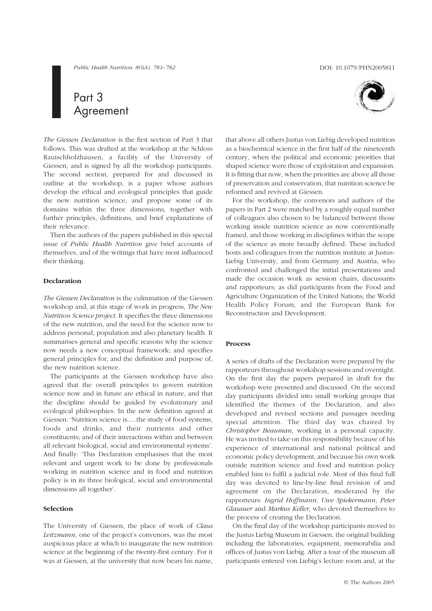Public Health Nutrition: 8(6A), 781–782 DOI: 10.1079/PHN2005811

# Part 3 Agreement

The Giessen Declaration is the first section of Part 3 that follows. This was drafted at the workshop at the Schloss Rauischholzhausen, a facility of the University of Giessen, and is signed by all the workshop participants. The second section, prepared for and discussed in outline at the workshop, is a paper whose authors develop the ethical and ecological principles that guide the new nutrition science, and propose some of its domains within the three dimensions, together with further principles, definitions, and brief explanations of their relevance.

Then the authors of the papers published in this special issue of Public Health Nutrition give brief accounts of themselves, and of the writings that have most influenced their thinking.

# Declaration

The Giessen Declaration is the culmination of the Giessen workshop and, at this stage of work in progress, The New Nutrition Science project. It specifies the three dimensions of the new nutrition, and the need for the science now to address personal, population and also planetary health. It summarises general and specific reasons why the science now needs a new conceptual framework; and specifies general principles for, and the definition and purpose of, the new nutrition science.

The participants at the Giessen workshop have also agreed that the overall principles to govern nutrition science now and in future are ethical in nature, and that the discipline should be guided by evolutionary and ecological philosophies. In the new definition agreed at Giessen: 'Nutrition science is... the study of food systems, foods and drinks, and their nutrients and other constituents; and of their interactions within and between all relevant biological, social and environmental systems'. And finally: 'This Declaration emphasises that the most relevant and urgent work to be done by professionals working in nutrition science and in food and nutrition policy is in its three biological, social and environmental dimensions all together'.

### Selection

The University of Giessen, the place of work of Claus Leitzmann, one of the project's convenors, was the most auspicious place at which to inaugurate the new nutrition science at the beginning of the twenty-first century. For it was at Giessen, at the university that now bears his name,



that above all others Justus von Liebig developed nutrition as a biochemical science in the first half of the nineteenth century, when the political and economic priorities that shaped science were those of exploitation and expansion. It is fitting that now, when the priorities are above all those of preservation and conservation, that nutrition science be reformed and revived at Giessen.

For the workshop, the convenors and authors of the papers in Part 2 were matched by a roughly equal number of colleagues also chosen to be balanced between those working inside nutrition science as now conventionally framed, and those working in disciplines within the scope of the science as more broadly defined. These included hosts and colleagues from the nutrition institute at Justus-Liebig University, and from Germany and Austria, who confronted and challenged the initial presentations and made the occasion work as session chairs, discussants and rapporteurs; as did participants from the Food and Agriculture Organization of the United Nations, the World Health Policy Forum, and the European Bank for Reconstruction and Development.

### Process

A series of drafts of the Declaration were prepared by the rapporteurs throughout workshop sessions and overnight. On the first day the papers prepared in draft for the workshop were presented and discussed. On the second day participants divided into small working groups that identified the themes of the Declaration, and also developed and revised sections and passages needing special attention. The third day was chaired by Christopher Beauman, working in a personal capacity. He was invited to take on this responsibility because of his experience of international and national political and economic policy development, and because his own work outside nutrition science and food and nutrition policy enabled him to fulfil a judicial role. Most of this final full day was devoted to line-by-line final revision of and agreement on the Declaration, moderated by the rapporteurs: Ingrid Hoffmann, Uwe Spiekermann, Peter Glasauer and Markus Keller, who devoted themselves to the process of creating the Declaration.

On the final day of the workshop participants moved to the Justus Liebig Museum in Giessen, the original building including the laboratories, equipment, memorabilia and offices of Justus von Liebig. After a tour of the museum all participants entered von Liebig's lecture room and, at the